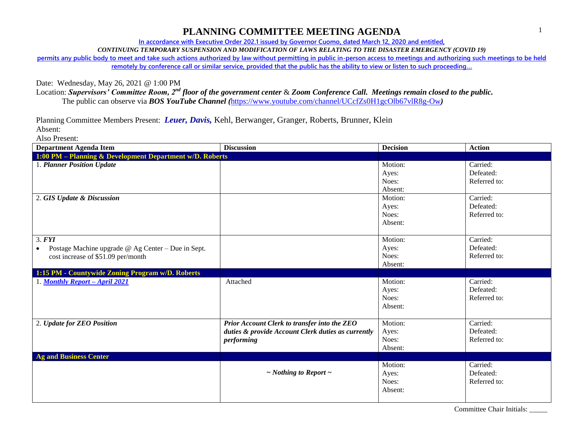**In accordance with Executive Order 202.1 issued by Governor Cuomo, dated March 12, 2020 and entitled,**

*CONTINUING TEMPORARY SUSPENSION AND MODIFICATION OF LAWS RELATING TO THE DISASTER EMERGENCY (COVID 19)*

**permits any public body to meet and take such actions authorized by law without permitting in public in-person access to meetings and authorizing such meetings to be held remotely by conference call or similar service, provided that the public has the ability to view or listen to such proceeding…**

Date: Wednesday, May 26, 2021 @ 1:00 PM

Location: *Supervisors' Committee Room, 2nd floor of the government center* & *Zoom Conference Call. Meetings remain closed to the public.* The public can observe via *BOS YouTube Channel (*<https://www.youtube.com/channel/UCcfZs0H1gcOlb67vlR8g-Ow>*)*

Planning Committee Members Present: *Leuer, Davis,* Kehl, Berwanger, Granger, Roberts, Brunner, Klein Absent:

Also Present:

| <b>Department Agenda Item</b>                            | <b>Discussion</b>                                  | <b>Decision</b> | <b>Action</b> |
|----------------------------------------------------------|----------------------------------------------------|-----------------|---------------|
| 1:00 PM - Planning & Development Department w/D. Roberts |                                                    |                 |               |
| 1. Planner Position Update                               |                                                    | Motion:         | Carried:      |
|                                                          |                                                    | Ayes:           | Defeated:     |
|                                                          |                                                    | Noes:           | Referred to:  |
|                                                          |                                                    | Absent:         |               |
| 2. GIS Update & Discussion                               |                                                    | Motion:         | Carried:      |
|                                                          |                                                    | Ayes:           | Defeated:     |
|                                                          |                                                    | Noes:           | Referred to:  |
|                                                          |                                                    | Absent:         |               |
|                                                          |                                                    |                 |               |
| 3. <b>FYI</b>                                            |                                                    | Motion:         | Carried:      |
| Postage Machine upgrade @ Ag Center - Due in Sept.       |                                                    | Ayes:           | Defeated:     |
| cost increase of \$51.09 per/month                       |                                                    | Noes:           | Referred to:  |
|                                                          |                                                    | Absent:         |               |
| 1:15 PM - Countywide Zoning Program w/D. Roberts         |                                                    |                 |               |
| 1. Monthly Report - April 2021                           | Attached                                           | Motion:         | Carried:      |
|                                                          |                                                    | Ayes:           | Defeated:     |
|                                                          |                                                    | Noes:           | Referred to:  |
|                                                          |                                                    | Absent:         |               |
|                                                          |                                                    |                 |               |
| 2. Update for ZEO Position                               | Prior Account Clerk to transfer into the ZEO       | Motion:         | Carried:      |
|                                                          | duties & provide Account Clerk duties as currently | Ayes:           | Defeated:     |
|                                                          | performing                                         | Noes:           | Referred to:  |
|                                                          |                                                    | Absent:         |               |
| <b>Ag and Business Center</b>                            |                                                    |                 |               |
|                                                          |                                                    | Motion:         | Carried:      |
|                                                          | $\sim$ Nothing to Report $\sim$                    | Ayes:           | Defeated:     |
|                                                          |                                                    | Noes:           | Referred to:  |
|                                                          |                                                    | Absent:         |               |
|                                                          |                                                    |                 |               |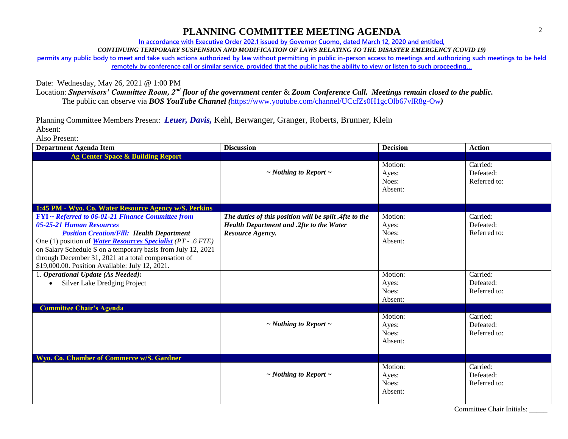**In accordance with Executive Order 202.1 issued by Governor Cuomo, dated March 12, 2020 and entitled,**

*CONTINUING TEMPORARY SUSPENSION AND MODIFICATION OF LAWS RELATING TO THE DISASTER EMERGENCY (COVID 19)*

**permits any public body to meet and take such actions authorized by law without permitting in public in-person access to meetings and authorizing such meetings to be held remotely by conference call or similar service, provided that the public has the ability to view or listen to such proceeding…**

Date: Wednesday, May 26, 2021 @ 1:00 PM

Location: *Supervisors' Committee Room, 2nd floor of the government center* & *Zoom Conference Call. Meetings remain closed to the public.* The public can observe via *BOS YouTube Channel (*<https://www.youtube.com/channel/UCcfZs0H1gcOlb67vlR8g-Ow>*)*

Planning Committee Members Present: *Leuer, Davis,* Kehl, Berwanger, Granger, Roberts, Brunner, Klein Absent:

Also Present:

| <b>Department Agenda Item</b>                                                                                                                                                                                                                                                                                                                                                       | <b>Discussion</b>                                                                                                      | <b>Decision</b>                      | <b>Action</b>                         |
|-------------------------------------------------------------------------------------------------------------------------------------------------------------------------------------------------------------------------------------------------------------------------------------------------------------------------------------------------------------------------------------|------------------------------------------------------------------------------------------------------------------------|--------------------------------------|---------------------------------------|
| Ag Center Space & Building Report                                                                                                                                                                                                                                                                                                                                                   |                                                                                                                        |                                      |                                       |
|                                                                                                                                                                                                                                                                                                                                                                                     | $\sim$ Nothing to Report $\sim$                                                                                        | Motion:<br>Ayes:<br>Noes:<br>Absent: | Carried:<br>Defeated:<br>Referred to: |
| 1:45 PM - Wyo. Co. Water Resource Agency w/S. Perkins                                                                                                                                                                                                                                                                                                                               |                                                                                                                        |                                      |                                       |
| FYI ~ Referred to 06-01-21 Finance Committee from<br>05-25-21 Human Resources<br><b>Position Creation/Fill: Health Department</b><br>One (1) position of <b>Water Resources Specialist</b> (PT - .6 FTE)<br>on Salary Schedule S on a temporary basis from July 12, 2021<br>through December 31, 2021 at a total compensation of<br>\$19,000.00. Position Available: July 12, 2021. | The duties of this position will be split .4fte to the<br>Health Department and .2fte to the Water<br>Resource Agency. | Motion:<br>Ayes:<br>Noes:<br>Absent: | Carried:<br>Defeated:<br>Referred to: |
| 1. Operational Update (As Needed):<br>Silver Lake Dredging Project                                                                                                                                                                                                                                                                                                                  |                                                                                                                        | Motion:<br>Ayes:<br>Noes:<br>Absent: | Carried:<br>Defeated:<br>Referred to: |
| <b>Committee Chair's Agenda</b>                                                                                                                                                                                                                                                                                                                                                     |                                                                                                                        |                                      |                                       |
|                                                                                                                                                                                                                                                                                                                                                                                     | $\sim$ Nothing to Report $\sim$                                                                                        | Motion:<br>Ayes:<br>Noes:<br>Absent: | Carried:<br>Defeated:<br>Referred to: |
| Wyo. Co. Chamber of Commerce w/S. Gardner                                                                                                                                                                                                                                                                                                                                           |                                                                                                                        |                                      |                                       |
|                                                                                                                                                                                                                                                                                                                                                                                     | $\sim$ Nothing to Report $\sim$                                                                                        | Motion:<br>Ayes:<br>Noes:<br>Absent: | Carried:<br>Defeated:<br>Referred to: |

2

Committee Chair Initials: \_\_\_\_\_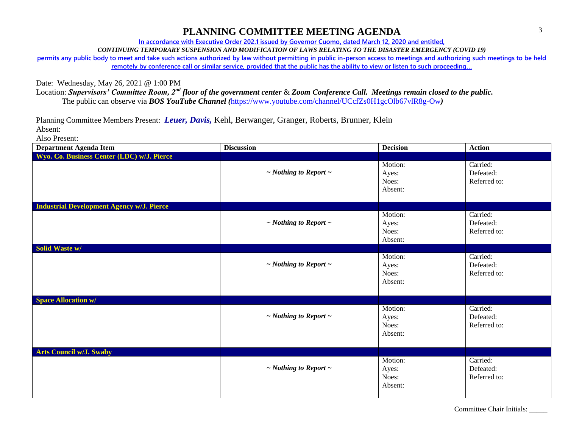**In accordance with Executive Order 202.1 issued by Governor Cuomo, dated March 12, 2020 and entitled,**

*CONTINUING TEMPORARY SUSPENSION AND MODIFICATION OF LAWS RELATING TO THE DISASTER EMERGENCY (COVID 19)*

**permits any public body to meet and take such actions authorized by law without permitting in public in-person access to meetings and authorizing such meetings to be held remotely by conference call or similar service, provided that the public has the ability to view or listen to such proceeding…**

Date: Wednesday, May 26, 2021 @ 1:00 PM

Location: *Supervisors' Committee Room, 2nd floor of the government center* & *Zoom Conference Call. Meetings remain closed to the public.* The public can observe via *BOS YouTube Channel (*<https://www.youtube.com/channel/UCcfZs0H1gcOlb67vlR8g-Ow>*)*

Planning Committee Members Present: *Leuer, Davis,* Kehl, Berwanger, Granger, Roberts, Brunner, Klein Absent:

Also Present:

| <b>Department Agenda Item</b>                    | <b>Discussion</b>               | <b>Decision</b>                      | <b>Action</b>                         |
|--------------------------------------------------|---------------------------------|--------------------------------------|---------------------------------------|
| Wyo. Co. Business Center (LDC) w/J. Pierce       |                                 |                                      |                                       |
|                                                  | $\sim$ Nothing to Report $\sim$ | Motion:<br>Ayes:<br>Noes:<br>Absent: | Carried:<br>Defeated:<br>Referred to: |
| <b>Industrial Development Agency w/J. Pierce</b> |                                 |                                      |                                       |
|                                                  | $\sim$ Nothing to Report $\sim$ | Motion:<br>Ayes:<br>Noes:<br>Absent: | Carried:<br>Defeated:<br>Referred to: |
| Solid Waste w/                                   |                                 |                                      |                                       |
|                                                  | $\sim$ Nothing to Report $\sim$ | Motion:<br>Ayes:<br>Noes:<br>Absent: | Carried:<br>Defeated:<br>Referred to: |
| <b>Space Allocation w/</b>                       |                                 |                                      |                                       |
|                                                  | $\sim$ Nothing to Report $\sim$ | Motion:<br>Ayes:<br>Noes:<br>Absent: | Carried:<br>Defeated:<br>Referred to: |
| <b>Arts Council w/J. Swaby</b>                   |                                 |                                      |                                       |
|                                                  | $\sim$ Nothing to Report $\sim$ | Motion:<br>Ayes:<br>Noes:<br>Absent: | Carried:<br>Defeated:<br>Referred to: |

Committee Chair Initials: \_\_\_\_\_